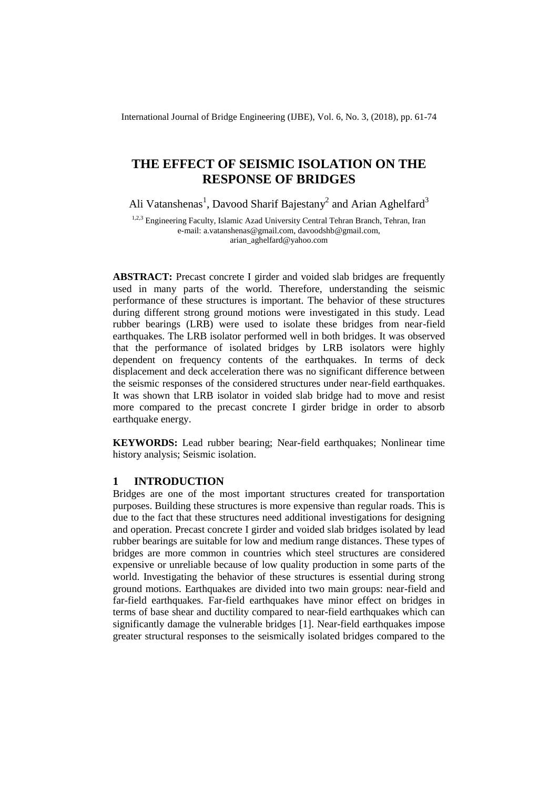International Journal of Bridge Engineering (IJBE), Vol. 6, No. 3, (2018), pp. 61-74

# **THE EFFECT OF SEISMIC ISOLATION ON THE RESPONSE OF BRIDGES**

Ali Vatanshenas<sup>1</sup>, Davood Sharif Bajestany<sup>2</sup> and Arian Aghelfard<sup>3</sup>

1,2,3 Engineering Faculty, Islamic Azad University Central Tehran Branch, Tehran, Iran e-mail: a.vatanshenas@gmail.com, davoodshb@gmail.com, arian\_aghelfard@yahoo.com

**ABSTRACT:** Precast concrete I girder and voided slab bridges are frequently used in many parts of the world. Therefore, understanding the seismic performance of these structures is important. The behavior of these structures during different strong ground motions were investigated in this study. Lead rubber bearings (LRB) were used to isolate these bridges from near-field earthquakes. The LRB isolator performed well in both bridges. It was observed that the performance of isolated bridges by LRB isolators were highly dependent on frequency contents of the earthquakes. In terms of deck displacement and deck acceleration there was no significant difference between the seismic responses of the considered structures under near-field earthquakes. It was shown that LRB isolator in voided slab bridge had to move and resist more compared to the precast concrete I girder bridge in order to absorb earthquake energy.

**KEYWORDS:** Lead rubber bearing; Near-field earthquakes; Nonlinear time history analysis; Seismic isolation.

# **1 INTRODUCTION**

Bridges are one of the most important structures created for transportation purposes. Building these structures is more expensive than regular roads. This is due to the fact that these structures need additional investigations for designing and operation. Precast concrete I girder and voided slab bridges isolated by lead rubber bearings are suitable for low and medium range distances. These types of bridges are more common in countries which steel structures are considered expensive or unreliable because of low quality production in some parts of the world. Investigating the behavior of these structures is essential during strong ground motions. Earthquakes are divided into two main groups: near-field and far-field earthquakes. Far-field earthquakes have minor effect on bridges in terms of base shear and ductility compared to near-field earthquakes which can significantly damage the vulnerable bridges [1]. Near-field earthquakes impose greater structural responses to the seismically isolated bridges compared to the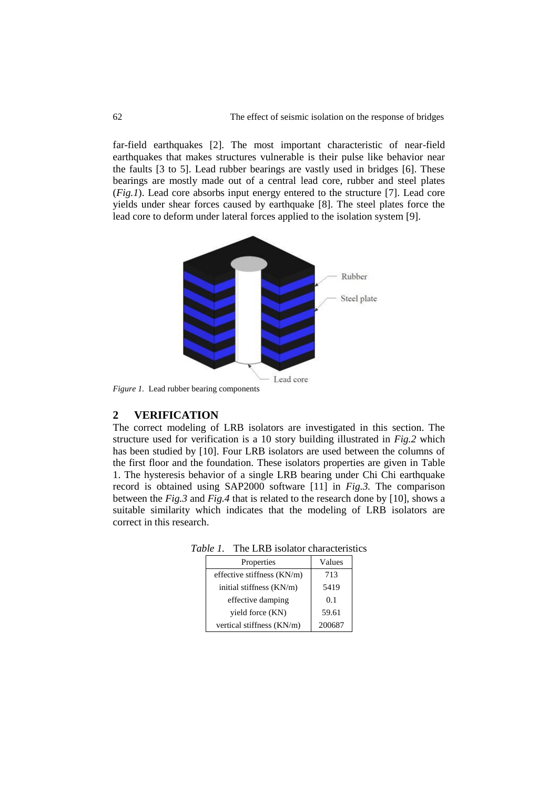far-field earthquakes [2]. The most important characteristic of near-field earthquakes that makes structures vulnerable is their pulse like behavior near the faults [3 to 5]. Lead rubber bearings are vastly used in bridges [6]. These bearings are mostly made out of a central lead core, rubber and steel plates (*Fig.1*). Lead core absorbs input energy entered to the structure [7]. Lead core yields under shear forces caused by earthquake [8]. The steel plates force the lead core to deform under lateral forces applied to the isolation system [9].



*Figure 1.* Lead rubber bearing components

#### **2 VERIFICATION**

The correct modeling of LRB isolators are investigated in this section. The structure used for verification is a 10 story building illustrated in *Fig.2* which has been studied by [10]. Four LRB isolators are used between the columns of the first floor and the foundation. These isolators properties are given in Table 1. The hysteresis behavior of a single LRB bearing under Chi Chi earthquake record is obtained using SAP2000 software [11] in *Fig.3.* The comparison between the *Fig.3* and *Fig.4* that is related to the research done by [10], shows a suitable similarity which indicates that the modeling of LRB isolators are correct in this research.

*Table 1.* The LRB isolator characteristics

| Properties                   | Values |  |  |
|------------------------------|--------|--|--|
| effective stiffness $(KN/m)$ | 713    |  |  |
| initial stiffness (KN/m)     | 5419   |  |  |
| effective damping            | 0.1    |  |  |
| yield force (KN)             | 59.61  |  |  |
| vertical stiffness (KN/m)    | 200687 |  |  |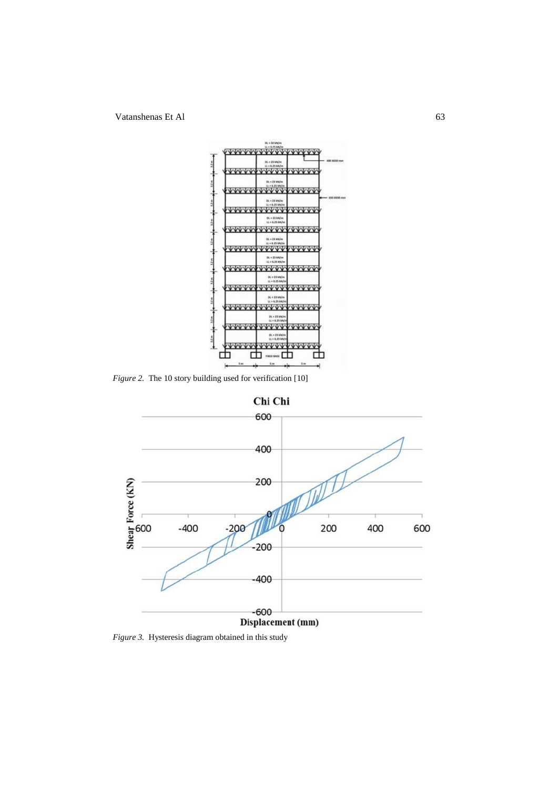Vatanshenas Et Al 63



*Figure 2.* The 10 story building used for verification [10]



*Figure 3.* Hysteresis diagram obtained in this study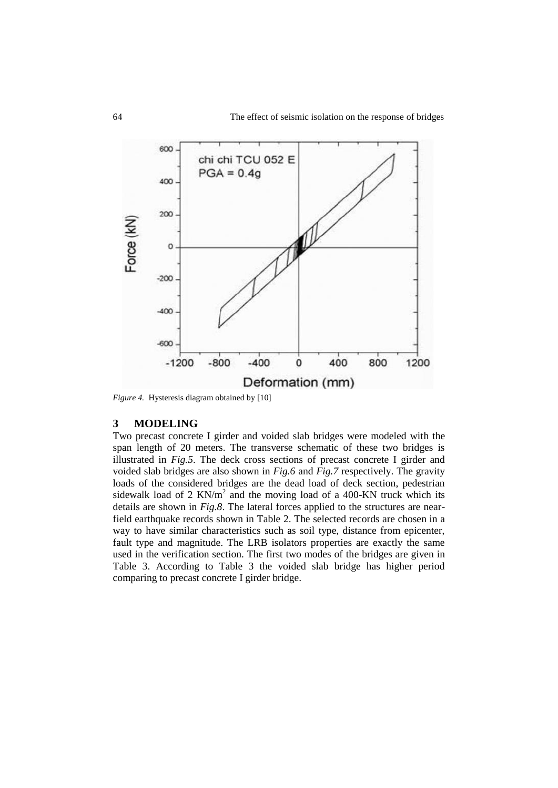

*Figure 4.* Hysteresis diagram obtained by [10]

#### **3 MODELING**

Two precast concrete I girder and voided slab bridges were modeled with the span length of 20 meters. The transverse schematic of these two bridges is illustrated in *Fig.5*. The deck cross sections of precast concrete I girder and voided slab bridges are also shown in *Fig.6* and *Fig.7* respectively. The gravity loads of the considered bridges are the dead load of deck section, pedestrian sidewalk load of 2  $KN/m^2$  and the moving load of a 400-KN truck which its details are shown in *Fig.8*. The lateral forces applied to the structures are nearfield earthquake records shown in Table 2. The selected records are chosen in a way to have similar characteristics such as soil type, distance from epicenter, fault type and magnitude. The LRB isolators properties are exactly the same used in the verification section. The first two modes of the bridges are given in Table 3. According to Table 3 the voided slab bridge has higher period comparing to precast concrete I girder bridge.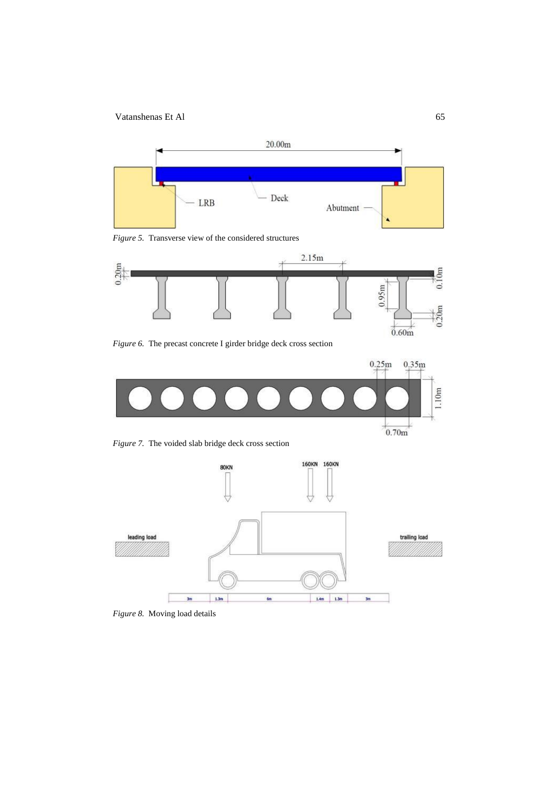

*Figure 5.* Transverse view of the considered structures



*Figure 6.* The precast concrete I girder bridge deck cross section



*Figure 7.* The voided slab bridge deck cross section



*Figure 8.* Moving load details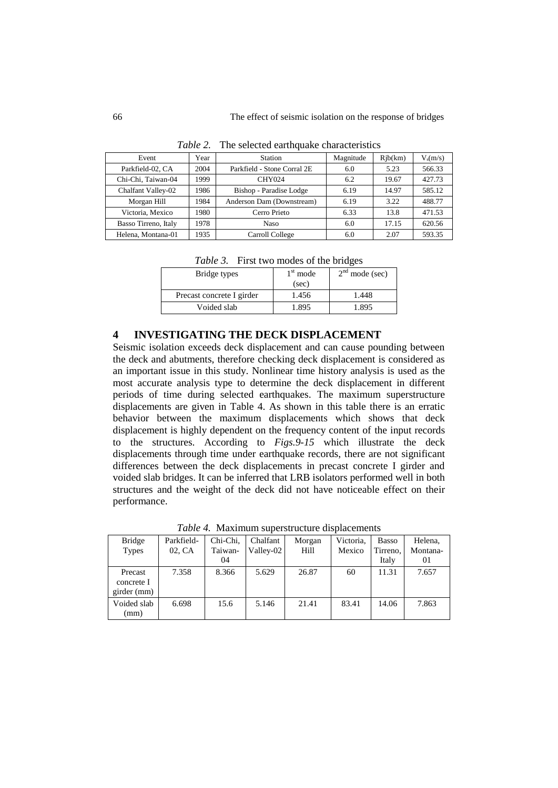| Event                | Year | Station                     | Magnitude | Rib(km) | $V_s(m/s)$ |
|----------------------|------|-----------------------------|-----------|---------|------------|
| Parkfield-02, CA     | 2004 | Parkfield - Stone Corral 2E | 6.0       | 5.23    | 566.33     |
| Chi-Chi. Taiwan-04   | 1999 | <b>CHY024</b>               | 6.2       | 19.67   | 427.73     |
| Chalfant Valley-02   | 1986 | Bishop - Paradise Lodge     | 6.19      | 14.97   | 585.12     |
| Morgan Hill          | 1984 | Anderson Dam (Downstream)   | 6.19      | 3.22    | 488.77     |
| Victoria, Mexico     | 1980 | Cerro Prieto                | 6.33      | 13.8    | 471.53     |
| Basso Tirreno, Italy | 1978 | <b>Naso</b>                 | 6.0       | 17.15   | 620.56     |
| Helena, Montana-01   | 1935 | Carroll College             | 6.0       | 2.07    | 593.35     |

*Table 2.* The selected earthquake characteristics

*Table 3.* First two modes of the bridges

| Bridge types              | $1st$ mode<br>(sec) | $2nd$ mode (sec) |
|---------------------------|---------------------|------------------|
| Precast concrete I girder | 1.456               | 1.448            |
| Voided slab               | 1.895               | 1.895            |

# **4 INVESTIGATING THE DECK DISPLACEMENT**

Seismic isolation exceeds deck displacement and can cause pounding between the deck and abutments, therefore checking deck displacement is considered as an important issue in this study. Nonlinear time history analysis is used as the most accurate analysis type to determine the deck displacement in different periods of time during selected earthquakes. The maximum superstructure displacements are given in Table 4. As shown in this table there is an erratic behavior between the maximum displacements which shows that deck displacement is highly dependent on the frequency content of the input records to the structures. According to *Figs.9-15* which illustrate the deck displacements through time under earthquake records, there are not significant differences between the deck displacements in precast concrete I girder and voided slab bridges. It can be inferred that LRB isolators performed well in both structures and the weight of the deck did not have noticeable effect on their performance.

| <b>Bridge</b>         | Parkfield- | Chi-Chi, | Chalfant  | Morgan | Victoria, | <b>Basso</b> | Helena,  |
|-----------------------|------------|----------|-----------|--------|-----------|--------------|----------|
| <b>Types</b>          | 02, CA     | Taiwan-  | Valley-02 | Hill   | Mexico    | Tirreno,     | Montana- |
|                       |            | 04       |           |        |           | Italy        | 01       |
| Precast<br>concrete I | 7.358      | 8.366    | 5.629     | 26.87  | 60        | 11.31        | 7.657    |
| girder (mm)           |            |          |           |        |           |              |          |
| Voided slab<br>(mm)   | 6.698      | 15.6     | 5.146     | 21.41  | 83.41     | 14.06        | 7.863    |

*Table 4.* Maximum superstructure displacements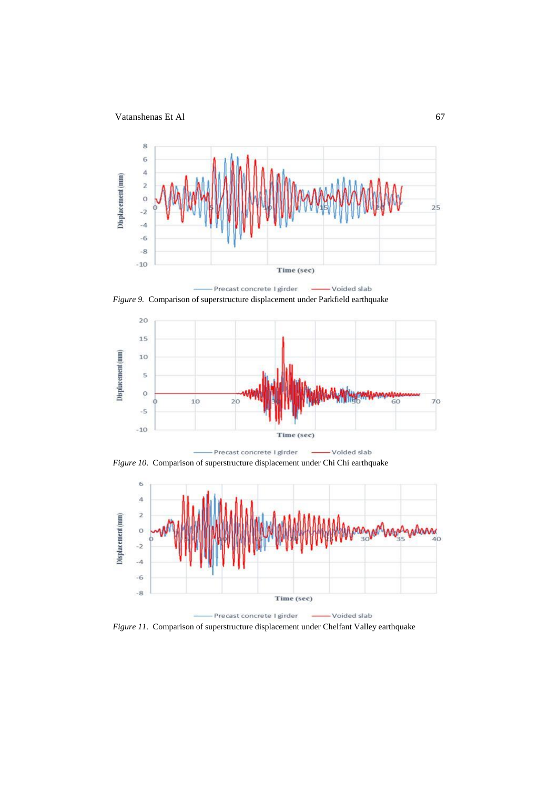

*Figure 9.* Comparison of superstructure displacement under Parkfield earthquake



*Figure 10.* Comparison of superstructure displacement under Chi Chi earthquake



*Figure 11.* Comparison of superstructure displacement under Chelfant Valley earthquake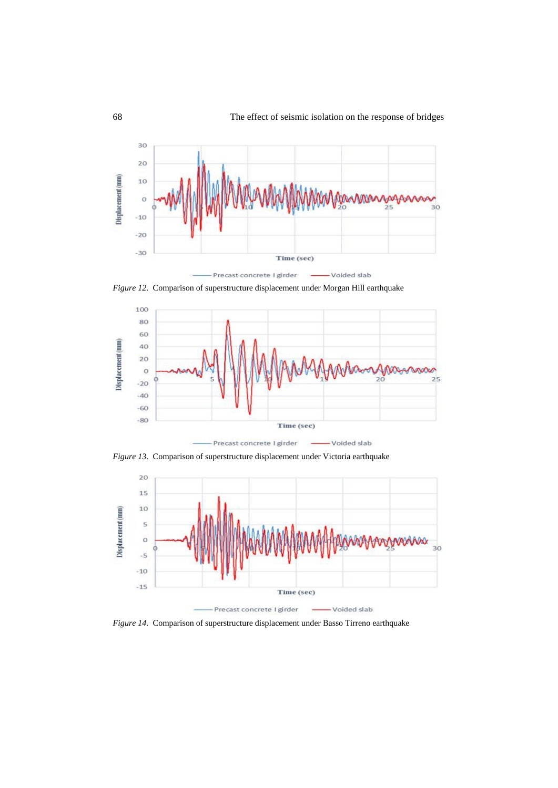

*Figure 12.* Comparison of superstructure displacement under Morgan Hill earthquake



-Voided slab Precast concrete I girder

*Figure 13.* Comparison of superstructure displacement under Victoria earthquake



*Figure 14.* Comparison of superstructure displacement under Basso Tirreno earthquake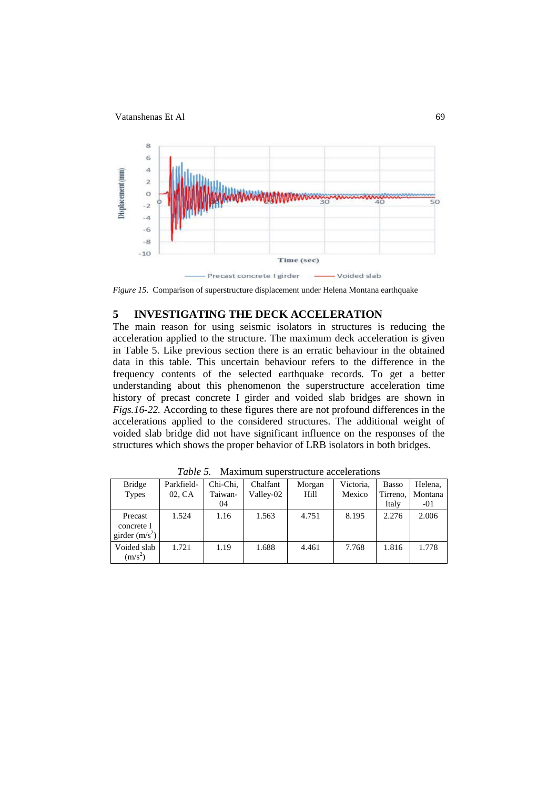

*Figure 15.* Comparison of superstructure displacement under Helena Montana earthquake

# **5 INVESTIGATING THE DECK ACCELERATION**

The main reason for using seismic isolators in structures is reducing the acceleration applied to the structure. The maximum deck acceleration is given in Table 5. Like previous section there is an erratic behaviour in the obtained data in this table. This uncertain behaviour refers to the difference in the frequency contents of the selected earthquake records. To get a better understanding about this phenomenon the superstructure acceleration time history of precast concrete I girder and voided slab bridges are shown in *Figs.16-22.* According to these figures there are not profound differences in the accelerations applied to the considered structures. The additional weight of voided slab bridge did not have significant influence on the responses of the structures which shows the proper behavior of LRB isolators in both bridges.

| <b>Bridge</b><br><b>Types</b>             | Parkfield-<br>02, CA | Chi-Chi,<br>Taiwan-<br>04 | Chalfant<br>Valley-02 | Morgan<br>Hill | Victoria.<br>Mexico | <b>Basso</b><br>Tirreno.<br>Italy | Helena.<br>Montana<br>$-01$ |
|-------------------------------------------|----------------------|---------------------------|-----------------------|----------------|---------------------|-----------------------------------|-----------------------------|
| Precast<br>concrete I<br>girder $(m/s^2)$ | 1.524                | 1.16                      | 1.563                 | 4.751          | 8.195               | 2.276                             | 2.006                       |
| Voided slab<br>$(m/s^2)$                  | 1.721                | 1.19                      | 1.688                 | 4.461          | 7.768               | 1.816                             | 1.778                       |

*Table 5.* Maximum superstructure accelerations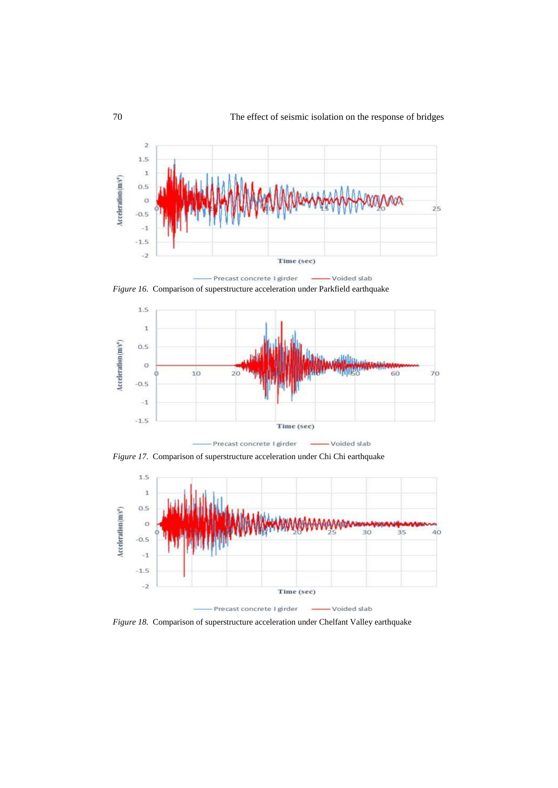

Precast concrete I girder -Voided slab *Figure 16.* Comparison of superstructure acceleration under Parkfield earthquake



Precast concrete I girder - Voided slab

*Figure 17.* Comparison of superstructure acceleration under Chi Chi earthquake



*Figure 18.* Comparison of superstructure acceleration under Chelfant Valley earthquake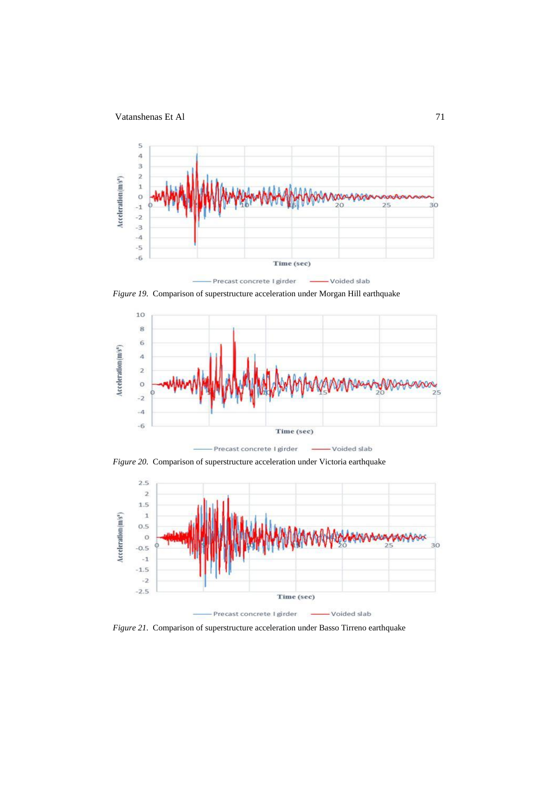

*Figure 19.* Comparison of superstructure acceleration under Morgan Hill earthquake



*Figure 20.* Comparison of superstructure acceleration under Victoria earthquake



*Figure 21.* Comparison of superstructure acceleration under Basso Tirreno earthquake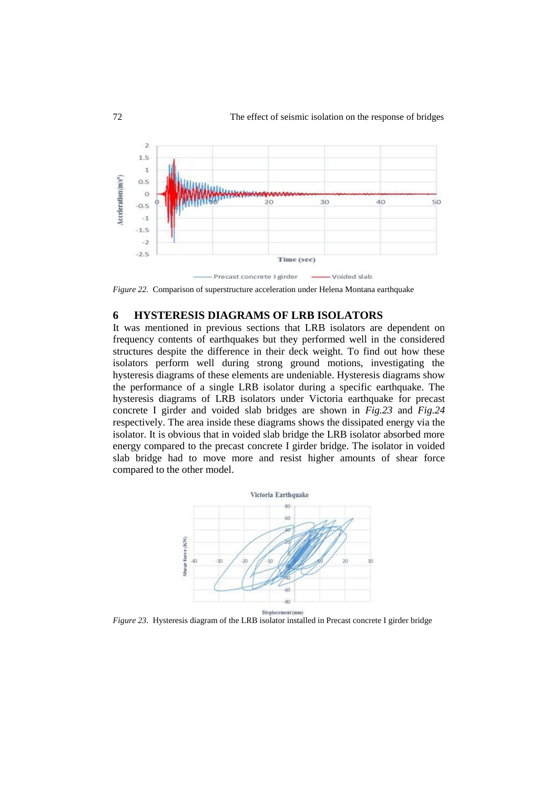

*Figure 22.* Comparison of superstructure acceleration under Helena Montana earthquake

#### **6 HYSTERESIS DIAGRAMS OF LRB ISOLATORS**

It was mentioned in previous sections that LRB isolators are dependent on frequency contents of earthquakes but they performed well in the considered structures despite the difference in their deck weight. To find out how these isolators perform well during strong ground motions, investigating the hysteresis diagrams of these elements are undeniable. Hysteresis diagrams show the performance of a single LRB isolator during a specific earthquake. The hysteresis diagrams of LRB isolators under Victoria earthquake for precast concrete I girder and voided slab bridges are shown in *Fig.23* and *Fig.24* respectively. The area inside these diagrams shows the dissipated energy via the isolator. It is obvious that in voided slab bridge the LRB isolator absorbed more energy compared to the precast concrete I girder bridge. The isolator in voided slab bridge had to move more and resist higher amounts of shear force compared to the other model.



*Figure 23.* Hysteresis diagram of the LRB isolator installed in Precast concrete I girder bridge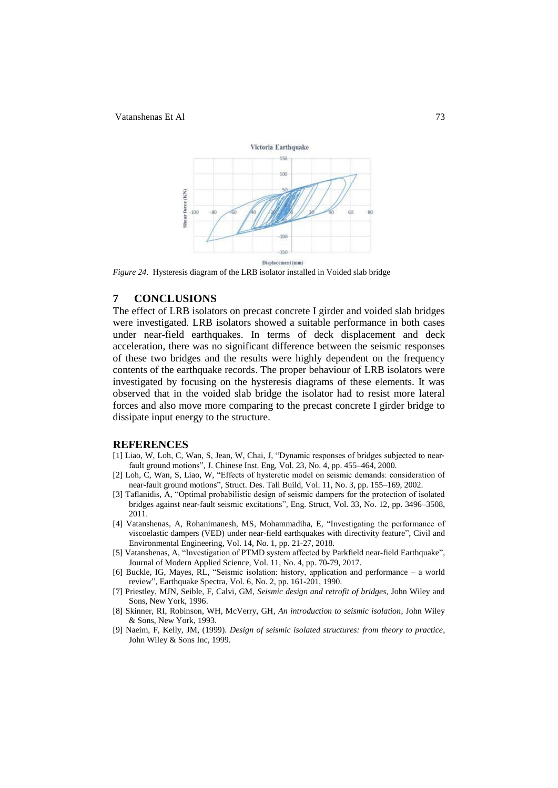

*Figure 24.* Hysteresis diagram of the LRB isolator installed in Voided slab bridge

# **7 CONCLUSIONS**

The effect of LRB isolators on precast concrete I girder and voided slab bridges were investigated. LRB isolators showed a suitable performance in both cases under near-field earthquakes. In terms of deck displacement and deck acceleration, there was no significant difference between the seismic responses of these two bridges and the results were highly dependent on the frequency contents of the earthquake records. The proper behaviour of LRB isolators were investigated by focusing on the hysteresis diagrams of these elements. It was observed that in the voided slab bridge the isolator had to resist more lateral forces and also move more comparing to the precast concrete I girder bridge to dissipate input energy to the structure.

#### **REFERENCES**

- [1] Liao, W, Loh, C, Wan, S, Jean, W, Chai, J, "Dynamic responses of bridges subjected to nearfault ground motions", J. Chinese Inst. Eng, Vol. 23, No. 4, pp. 455–464, 2000.
- [2] Loh, C, Wan, S, Liao, W, "Effects of hysteretic model on seismic demands: consideration of near-fault ground motions", Struct. Des. Tall Build, Vol. 11, No. 3, pp. 155–169, 2002.
- [3] Taflanidis, A, "Optimal probabilistic design of seismic dampers for the protection of isolated bridges against near-fault seismic excitations", Eng. Struct, Vol. 33, No. 12, pp. 3496–3508, 2011.
- [4] Vatanshenas, A, Rohanimanesh, MS, Mohammadiha, E, "Investigating the performance of viscoelastic dampers (VED) under near-field earthquakes with directivity feature", Civil and Environmental Engineering, Vol. 14, No. 1, pp. 21-27, 2018.
- [5] Vatanshenas, A, "Investigation of PTMD system affected by Parkfield near-field Earthquake", Journal of Modern Applied Science, Vol. 11, No. 4, pp. 70-79, 2017.
- [6] Buckle, IG, Mayes, RL, "Seismic isolation: history, application and performance a world review", Earthquake Spectra, Vol. 6, No. 2, pp. 161-201, 1990.
- [7] Priestley, MJN, Seible, F, Calvi, GM, *Seismic design and retrofit of bridges*, John Wiley and Sons, New York, 1996.
- [8] Skinner, RI, Robinson, WH, McVerry, GH, *An introduction to seismic isolation*, John Wiley & Sons, New York, 1993.
- [9] Naeim, F, Kelly, JM, (1999). *Design of seismic isolated structures: from theory to practice*, John Wiley & Sons Inc, 1999.